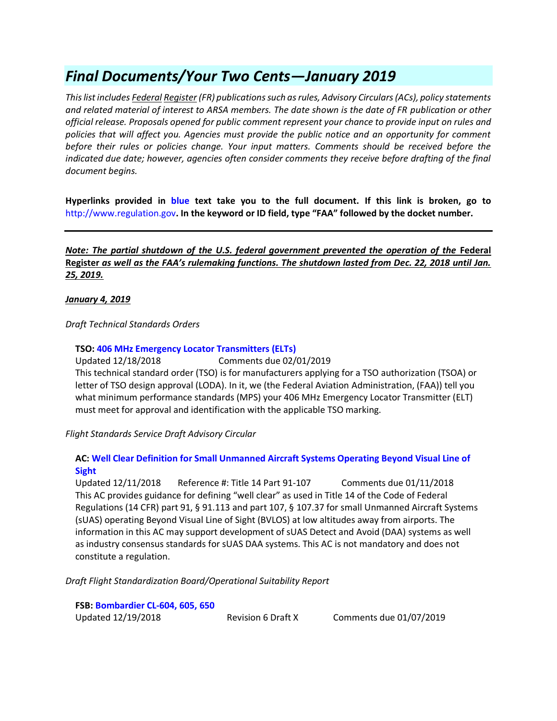# *Final Documents/Your Two Cents—January 2019*

*This list includes Federal Register (FR) publications such as rules, Advisory Circulars (ACs), policy statements and related material of interest to ARSA members. The date shown is the date of FR publication or other official release. Proposals opened for public comment represent your chance to provide input on rules and policies that will affect you. Agencies must provide the public notice and an opportunity for comment before their rules or policies change. Your input matters. Comments should be received before the indicated due date; however, agencies often consider comments they receive before drafting of the final document begins.*

**Hyperlinks provided in blue text take you to the full document. If this link is broken, go to**  [http://www.regulation.gov](http://www.regulation.gov/)**. In the keyword or ID field, type "FAA" followed by the docket number.** 

*Note: The partial shutdown of the U.S. federal government prevented the operation of the Federal* **Register** *as well as the FAA's rulemaking functions. The shutdown lasted from Dec. 22, 2018 until Jan. 25, 2019.*

*January 4, 2019*

*Draft Technical Standards Orders*

# **TSO[: 406 MHz Emergency Locator Transmitters \(ELTs\)](https://www.faa.gov/aircraft/draft_docs/media/TSO-C126c.pdf)**

Updated 12/18/2018 Comments due 02/01/2019 This technical standard order (TSO) is for manufacturers applying for a TSO authorization (TSOA) or letter of TSO design approval (LODA). In it, we (the Federal Aviation Administration, (FAA)) tell you what minimum performance standards (MPS) your 406 MHz Emergency Locator Transmitter (ELT) must meet for approval and identification with the applicable TSO marking.

*Flight Standards Service Draft Advisory Circular*

# **AC: [Well Clear Definition for Small Unmanned Aircraft Systems Operating Beyond Visual Line of](https://www.faa.gov/aircraft/draft_docs/media/afs/AC_90-WLCLR_Coord_Copy.pdf)  [Sight](https://www.faa.gov/aircraft/draft_docs/media/afs/AC_90-WLCLR_Coord_Copy.pdf)**

Updated 12/11/2018 Reference #: Title 14 Part 91-107 Comments due 01/11/2018 This AC provides guidance for defining "well clear" as used in Title 14 of the Code of Federal Regulations (14 CFR) part 91, § 91.113 and part 107, § 107.37 for small Unmanned Aircraft Systems (sUAS) operating Beyond Visual Line of Sight (BVLOS) at low altitudes away from airports. The information in this AC may support development of sUAS Detect and Avoid (DAA) systems as well as industry consensus standards for sUAS DAA systems. This AC is not mandatory and does not constitute a regulation.

*Draft Flight Standardization Board/Operational Suitability Report*

**FSB[: Bombardier CL-604, 605, 650](https://www.faa.gov/aircraft/draft_docs/media/afs/FSBR_CL-604_605_650_Rev-6_Draft.pdf)** Updated 12/19/2018 Revision 6 Draft X Comments due 01/07/2019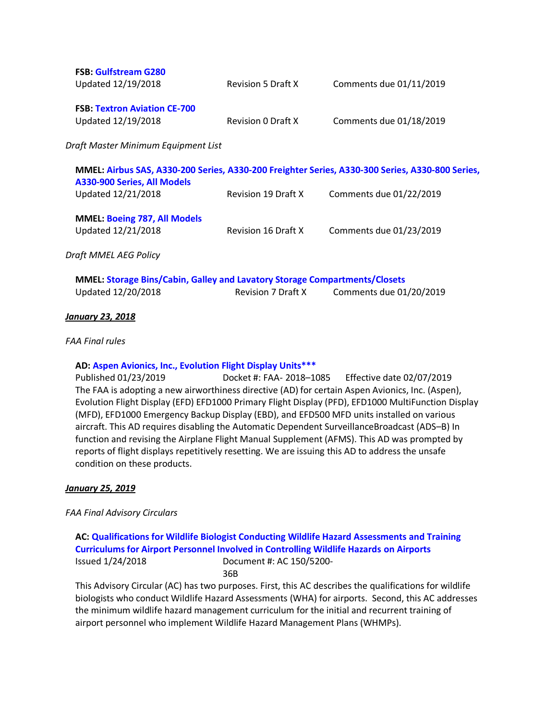| <b>FSB: Gulfstream G280</b><br>Updated 12/19/2018         | <b>Revision 5 Draft X</b> | Comments due 01/11/2019 |
|-----------------------------------------------------------|---------------------------|-------------------------|
| <b>FSB: Textron Aviation CE-700</b><br>Updated 12/19/2018 | Revision 0 Draft X        | Comments due 01/18/2019 |

*Draft Master Minimum Equipment List*

| A330-900 Series, All Models                               |                            | MMEL: Airbus SAS, A330-200 Series, A330-200 Freighter Series, A330-300 Series, A330-800 Series, |
|-----------------------------------------------------------|----------------------------|-------------------------------------------------------------------------------------------------|
| Updated 12/21/2018                                        | <b>Revision 19 Draft X</b> | Comments due 01/22/2019                                                                         |
| <b>MMEL: Boeing 787, All Models</b><br>Updated 12/21/2018 |                            |                                                                                                 |
|                                                           | Revision 16 Draft X        | Comments due 01/23/2019                                                                         |
| Draft MMEL AEG Policy                                     |                            |                                                                                                 |

| <b>MMEL: Storage Bins/Cabin, Galley and Lavatory Storage Compartments/Closets</b> |                    |                         |
|-----------------------------------------------------------------------------------|--------------------|-------------------------|
| Updated 12/20/2018                                                                | Revision 7 Draft X | Comments due 01/20/2019 |

# *January 23, 2018*

### *FAA Final rules*

### **AD: [Aspen Avionics, Inc., Evolution Flight Display Units\\*\\*\\*](https://www.govinfo.gov/content/pkg/FR-2019-01-23/pdf/2019-00104.pdf)**

Published 01/23/2019 Docket #: FAA- 2018–1085 Effective date 02/07/2019 The FAA is adopting a new airworthiness directive (AD) for certain Aspen Avionics, Inc. (Aspen), Evolution Flight Display (EFD) EFD1000 Primary Flight Display (PFD), EFD1000 MultiFunction Display (MFD), EFD1000 Emergency Backup Display (EBD), and EFD500 MFD units installed on various aircraft. This AD requires disabling the Automatic Dependent SurveillanceBroadcast (ADS–B) In function and revising the Airplane Flight Manual Supplement (AFMS). This AD was prompted by reports of flight displays repetitively resetting. We are issuing this AD to address the unsafe condition on these products.

### *January 25, 2019*

*FAA Final Advisory Circulars*

**AC: [Qualifications for Wildlife Biologist Conducting Wildlife Hazard Assessments and Training](https://www.faa.gov/documentLibrary/media/Advisory_Circular/150-5200-36B.pdf)  [Curriculums for Airport Personnel Involved in Controlling Wildlife Hazards on Airports](https://www.faa.gov/documentLibrary/media/Advisory_Circular/150-5200-36B.pdf)** Issued 1/24/2018 Document #: AC 150/5200- 36B

This Advisory Circular (AC) has two purposes. First, this AC describes the qualifications for wildlife biologists who conduct Wildlife Hazard Assessments (WHA) for airports. Second, this AC addresses the minimum wildlife hazard management curriculum for the initial and recurrent training of airport personnel who implement Wildlife Hazard Management Plans (WHMPs).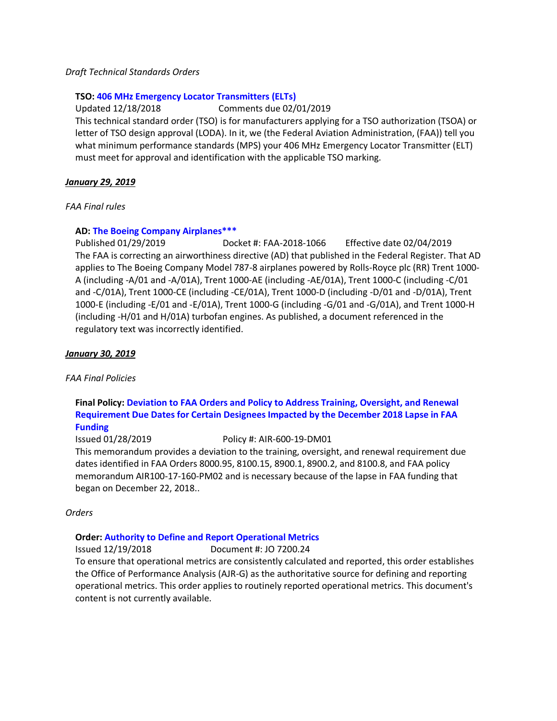# *Draft Technical Standards Orders*

# **TSO[: 406 MHz Emergency Locator Transmitters \(ELTs\)](https://www.faa.gov/aircraft/draft_docs/media/TSO-C126c.pdf)**

Updated 12/18/2018 Comments due 02/01/2019 This technical standard order (TSO) is for manufacturers applying for a TSO authorization (TSOA) or letter of TSO design approval (LODA). In it, we (the Federal Aviation Administration, (FAA)) tell you what minimum performance standards (MPS) your 406 MHz Emergency Locator Transmitter (ELT) must meet for approval and identification with the applicable TSO marking.

# *January 29, 2019*

# *FAA Final rules*

# **AD: [The Boeing Company Airplanes\\*\\*\\*](https://www.federalregister.gov/documents/2019/01/29/2019-00297/airworthiness-directives-the-boeing-company-airplanes)**

Published 01/29/2019 Docket #: FAA-2018-1066 Effective date 02/04/2019 The FAA is correcting an airworthiness directive (AD) that published in the Federal Register. That AD applies to The Boeing Company Model 787-8 airplanes powered by Rolls-Royce plc (RR) Trent 1000- A (including -A/01 and -A/01A), Trent 1000-AE (including -AE/01A), Trent 1000-C (including -C/01 and -C/01A), Trent 1000-CE (including -CE/01A), Trent 1000-D (including -D/01 and -D/01A), Trent 1000-E (including -E/01 and -E/01A), Trent 1000-G (including -G/01 and -G/01A), and Trent 1000-H (including -H/01 and H/01A) turbofan engines. As published, a document referenced in the regulatory text was incorrectly identified.

# *January 30, 2019*

### *FAA Final Policies*

# **Final Policy: [Deviation to FAA Orders and Policy to Address Training, Oversight, and Renewal](http://rgl.faa.gov/Regulatory_and_Guidance_Library/rgPolicy.nsf/0/f98875896344ebbb86258391006551c9/$FILE/AIR-600-19-DM01.pdf)  [Requirement Due Dates for Certain Designees Impacted by the December 2018 Lapse in FAA](http://rgl.faa.gov/Regulatory_and_Guidance_Library/rgPolicy.nsf/0/f98875896344ebbb86258391006551c9/$FILE/AIR-600-19-DM01.pdf)  [Funding](http://rgl.faa.gov/Regulatory_and_Guidance_Library/rgPolicy.nsf/0/f98875896344ebbb86258391006551c9/$FILE/AIR-600-19-DM01.pdf)**

Issued 01/28/2019 Policy #: AIR-600-19-DM01

This memorandum provides a deviation to the training, oversight, and renewal requirement due dates identified in FAA Orders 8000.95, 8100.15, 8900.1, 8900.2, and 8100.8, and FAA policy memorandum AIR100-17-160-PM02 and is necessary because of the lapse in FAA funding that began on December 22, 2018..

### *Orders*

# **Order: [Authority to Define and Report Operational Metrics](https://www.faa.gov/regulations_policies/orders_notices/index.cfm/go/document.information/documentID/1035112)**

Issued 12/19/2018 Document #: JO 7200.24

To ensure that operational metrics are consistently calculated and reported, this order establishes the Office of Performance Analysis (AJR-G) as the authoritative source for defining and reporting operational metrics. This order applies to routinely reported operational metrics. This document's content is not currently available.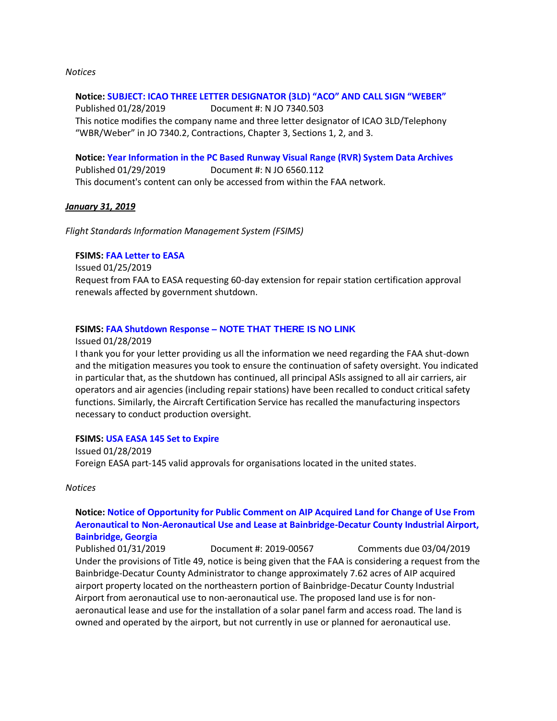### *Notices*

### **Notice: [SUBJECT: ICAO THREE LETTER DESIGNATOR \(3LD\) "ACO" AND CALL SIGN "WEBER"](https://www.faa.gov/documentLibrary/media/Notice/WOCC_ACO_GENOT.pdf)**

Published 01/28/2019 Document #: N JO 7340.503 This notice modifies the company name and three letter designator of ICAO 3LD/Telephony "WBR/Weber" in JO 7340.2, Contractions, Chapter 3, Sections 1, 2, and 3.

**Notice: [Year Information in the PC Based Runway Visual Range \(RVR\) System Data Archives](https://www.faa.gov/regulations_policies/orders_notices/index.cfm/go/document.information/documentID/1035214)** Published 01/29/2019 Document #: N JO 6560.112 This document's content can only be accessed from within the FAA network.

### *January 31, 2019*

*Flight Standards Information Management System (FSIMS)*

# **FSIMS: [FAA Letter to EASA](http://fsims.faa.gov/PICDetail.aspx?docId=FAA-Resp-SD2018-2019)**

Issued 01/25/2019

Request from FAA to EASA requesting 60-day extension for repair station certification approval renewals affected by government shutdown.

### **FSIMS: FAA Shutdown Response – NOTE THAT THERE IS NO LINK**

Issued 01/28/2019

I thank you for your letter providing us all the information we need regarding the FAA shut-down and the mitigation measures you took to ensure the continuation of safety oversight. You indicated in particular that, as the shutdown has continued, all principal ASls assigned to all air carriers, air operators and air agencies (including repair stations) have been recalled to conduct critical safety functions. Similarly, the Aircraft Certification Service has recalled the manufacturing inspectors necessary to conduct production oversight.

#### **FSIMS: [USA EASA 145 Set to Expire](http://fsims.faa.gov/PICDetail.aspx?docId=FAA-EASA%20145Exp)**

Issued 01/28/2019 Foreign EASA part-145 valid approvals for organisations located in the united states.

#### *Notices*

# **Notice: [Notice of Opportunity for Public Comment on AIP Acquired Land for Change of Use From](https://www.federalregister.gov/documents/2019/01/31/2019-00567/notice-of-opportunity-for-public-comment-on-aip-acquired-land-for-change-of-use-from-aeronautical-to)  [Aeronautical to Non-Aeronautical Use and Lease at Bainbridge-Decatur County Industrial Airport,](https://www.federalregister.gov/documents/2019/01/31/2019-00567/notice-of-opportunity-for-public-comment-on-aip-acquired-land-for-change-of-use-from-aeronautical-to)  [Bainbridge, Georgia](https://www.federalregister.gov/documents/2019/01/31/2019-00567/notice-of-opportunity-for-public-comment-on-aip-acquired-land-for-change-of-use-from-aeronautical-to)**

Published 01/31/2019 Document #: 2019-00567 Comments due 03/04/2019 Under the provisions of Title 49, notice is being given that the FAA is considering a request from the Bainbridge-Decatur County Administrator to change approximately 7.62 acres of AIP acquired airport property located on the northeastern portion of Bainbridge-Decatur County Industrial Airport from aeronautical use to non-aeronautical use. The proposed land use is for nonaeronautical lease and use for the installation of a solar panel farm and access road. The land is owned and operated by the airport, but not currently in use or planned for aeronautical use.